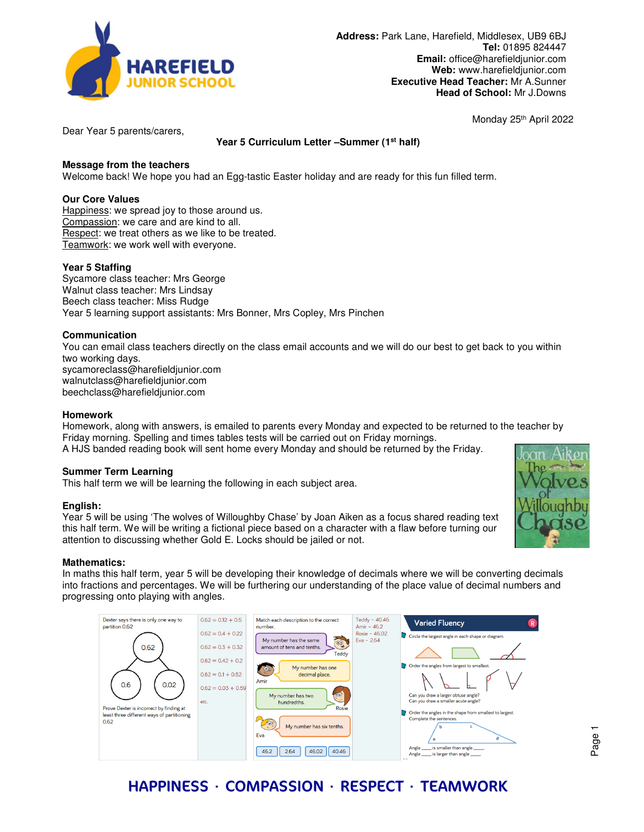

Monday 25th April 2022

Dear Year 5 parents/carers,

## **Year 5 Curriculum Letter –Summer (1st half)**

## **Message from the teachers**

Welcome back! We hope you had an Egg-tastic Easter holiday and are ready for this fun filled term.

## **Our Core Values**

Happiness: we spread joy to those around us. Compassion: we care and are kind to all. Respect: we treat others as we like to be treated. Teamwork: we work well with everyone.

## **Year 5 Staffing**

Sycamore class teacher: Mrs George Walnut class teacher: Mrs Lindsay Beech class teacher: Miss Rudge Year 5 learning support assistants: Mrs Bonner, Mrs Copley, Mrs Pinchen

## **Communication**

You can email class teachers directly on the class email accounts and we will do our best to get back to you within two working days. sycamoreclass@harefieldjunior.com walnutclass@harefieldjunior.com

beechclass@harefieldjunior.com

## **Homework**

Homework, along with answers, is emailed to parents every Monday and expected to be returned to the teacher by Friday morning. Spelling and times tables tests will be carried out on Friday mornings.

A HJS banded reading book will sent home every Monday and should be returned by the Friday.

### **Summer Term Learning**

This half term we will be learning the following in each subject area.

### **English:**

Year 5 will be using 'The wolves of Willoughby Chase' by Joan Aiken as a focus shared reading text this half term. We will be writing a fictional piece based on a character with a flaw before turning our attention to discussing whether Gold E. Locks should be jailed or not.

### **Mathematics:**

In maths this half term, year 5 will be developing their knowledge of decimals where we will be converting decimals into fractions and percentages. We will be furthering our understanding of the place value of decimal numbers and progressing onto playing with angles.



# HAPPINESS ∙ COMPASSION ∙ RESPECT ∙ TEAMWORK